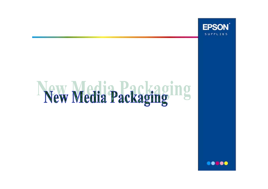

# New Media Packaging ing

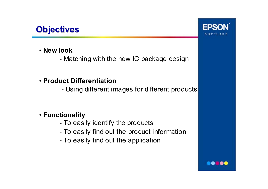## **Objectives Objectives**

- **New look**
	- -Matching with the new IC package design
- **Product Differentiation**
	- -Using different images for different products

## • **Functionality**

- -To easily identify the products
- -To easily find out the product information
- -To easily find out the application



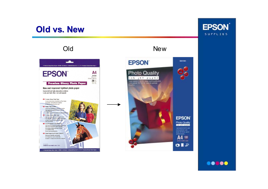## **Old vs. New**





**SEATOR EPSON** Photo Quality **DISTURBANCE** partment is print them **COMMERCIAL DON'TO HOLD CARDS** Δ 100 **ETA X 207 PVR** OBR

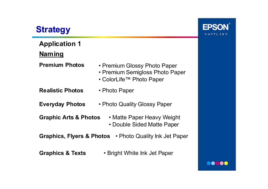# **Strategy**

**Application 1 Naming Premium Photos** •• Premium Glossy Photo Paper • Premium Semigloss Photo Paper • ColorLife™ Photo Paper **Realistic Photos** • Photo Paper **Everyday Photos** • Photo Quality Glossy Paper **Graphic Arts & Photos** • Matte Paper Heavy Weight • Double Sided Matte Paper **Graphics, Flyers & Photos** • Photo Quality Ink Jet Paper **Graphics & Texts** • Bright White Ink Jet Paper

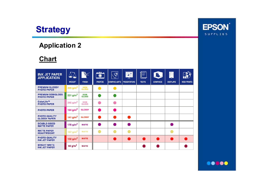

#### **Application 2**

#### **Chart**

| <b>INK JET PAPER</b><br><b>APPLICATION</b>     | $\Delta$<br><b>WEIGHT</b> | <b>FINISH</b>               | $\bullet$<br><b>PHOTOS</b> | $\widehat{\mathcal{R}}$<br><b>GRAPHIC ARTS</b> | $C =$<br>工<br><b>PRESENTATIONS</b> | <u>भ]</u> =<br>E<br><b>TEXTS</b> | Ĵ.<br><b>GRAPHICS</b> | <b>Contract</b><br><b>DISPLAYS</b> | ര<br><b>WEB PRINTS</b> |
|------------------------------------------------|---------------------------|-----------------------------|----------------------------|------------------------------------------------|------------------------------------|----------------------------------|-----------------------|------------------------------------|------------------------|
| <b>PREMIUM GLOSSY</b><br><b>PHOTO PAPER</b>    | 255 $g/m^2$               | <b>HIGH</b><br><b>GLOSS</b> |                            |                                                |                                    |                                  |                       |                                    |                        |
| <b>PREMIUM SEMIGLOSS</b><br><b>PHOTO PAPER</b> | 251 g/m <sup>2</sup>      | <b>SEMI</b><br><b>GLOSS</b> |                            |                                                |                                    |                                  |                       |                                    |                        |
| ColorLife™<br><b>PHOTO PAPER</b>               | 245 $g/m^2$               | <b>SEMI</b><br><b>GLOSS</b> |                            |                                                |                                    |                                  |                       |                                    |                        |
| <b>PHOTO PAPER</b>                             | 194 $g/m^2$               | <b>GLOSSY</b>               |                            |                                                |                                    |                                  |                       |                                    |                        |
| <b>PHOTO QUALITY</b><br><b>GLOSSY PAPER</b>    | 141 $g/m^2$               | <b>GLOSSY</b>               |                            |                                                |                                    |                                  |                       |                                    |                        |
| <b>DOUBLE-SIDED</b><br><b>MATTE PAPER</b>      | 178 $g/m^2$               | <b>MATTE</b>                |                            |                                                |                                    |                                  |                       |                                    |                        |
| <b>MATTE PAPER</b><br><b>HEAVYWEIGHT</b>       | 167 $g/m^2$               | <b>MATTE</b>                |                            |                                                |                                    |                                  |                       |                                    |                        |
| <b>PHOTO QUALITY</b><br><b>INK JET PAPER</b>   | 102 $g/m^2$               | <b>MATTE</b>                |                            |                                                |                                    |                                  |                       |                                    |                        |
| <b>BRIGHT WHITE</b><br><b>INK JET PAPER</b>    | 90 g/m $^2$               | <b>MATTE</b>                |                            |                                                |                                    |                                  |                       |                                    |                        |



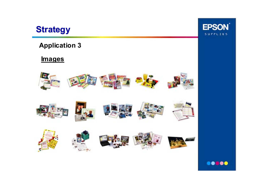

### **Application 3**

#### **Images**





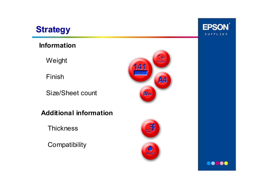

### **Information**

Weight

Finish

Size/Sheet count

**Additional information**

**Thickness** 

**Compatibility** 







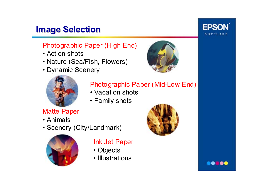# **Image Selection Image Selection**

## Photographic Paper (High End)

- Action shots
- Nature (Sea/Fish, Flowers)
- Dynamic Scenery





## Photographic Paper (Mid-Low End)

- Vacation shots
- Family shots

## Matte Paper

- Animals
- Scenery (City/Landmark)



## Ink Jet Paper

- Objects
- Illustrations





**EPSON** 

SUPPLIES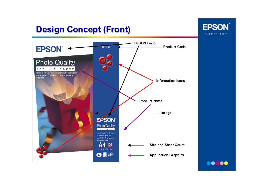# **Design Concept (Front) Design Concept (Front)**





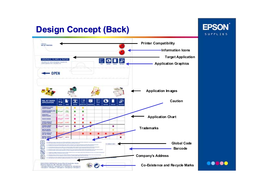## **Design Concept (Back) Design Concept (Back)**



**.....** 

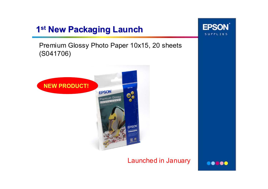## **1st New Packaging Launch New Packaging Launch**

Premium Glossy Photo Paper 10x15, 20 sheets (S041706)



#### Launched in January



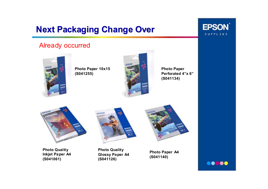# **Next Packaging Change Over**

#### Already occurred



**Photo Paper 10x15 (S041255)**



**Photo Paper Perforated 4"x 6"(S041134)**



**Photo Quality Inkjet Paper A4 (S041061)**



**Photo Quality Glossy Paper A4 (S041126)**





**EPSON** 

SUPPLIES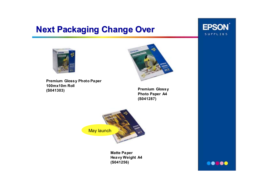## **Next Packaging Change Over**



oot toc





**Premium Glossy Photo Paper 100mx10m Roll(S041303)**

**Premium Glossy Photo Paper A4 (S041287)** 



**Matte Paper Heavy Weight A4 (S041256)**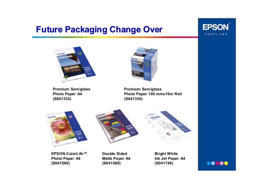## **Future Packaging Change Over Future Packaging Change Over**





**Premium Semigloss Photo Paper A4 (S041332)**



**Premium Semigloss Photo Paper 100 mmx10m Roll (S041330)**







**EPSON ColorLife™ Photo Paper A4 (S041560)**

**Double Sided Matte Paper A4 (S041569)**

**Bright White Ink Jet Paper A4 (S041749)**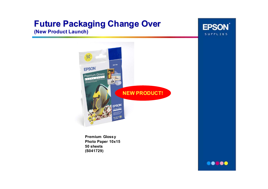# **Future Packaging Change Over Future Packaging Change Over**

#### **(New Product Launch)**





**Premium Glossy Photo Paper 10x15 50 sheets(S041729)**

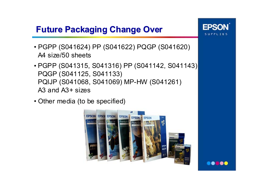## **Future Packaging Change Over Future Packaging Change Over**

- PGPP (S041624) PP (S041622) PQGP (S041620) A4 size/50 sheets
- PGPP (S041315, S041316) PP (S041142, S041143) PQGP (S041125, S041133) PQIJP (S041068, S041069) MP-HW (S041261) A3 and A3+ sizes
- Other media (to be specified)